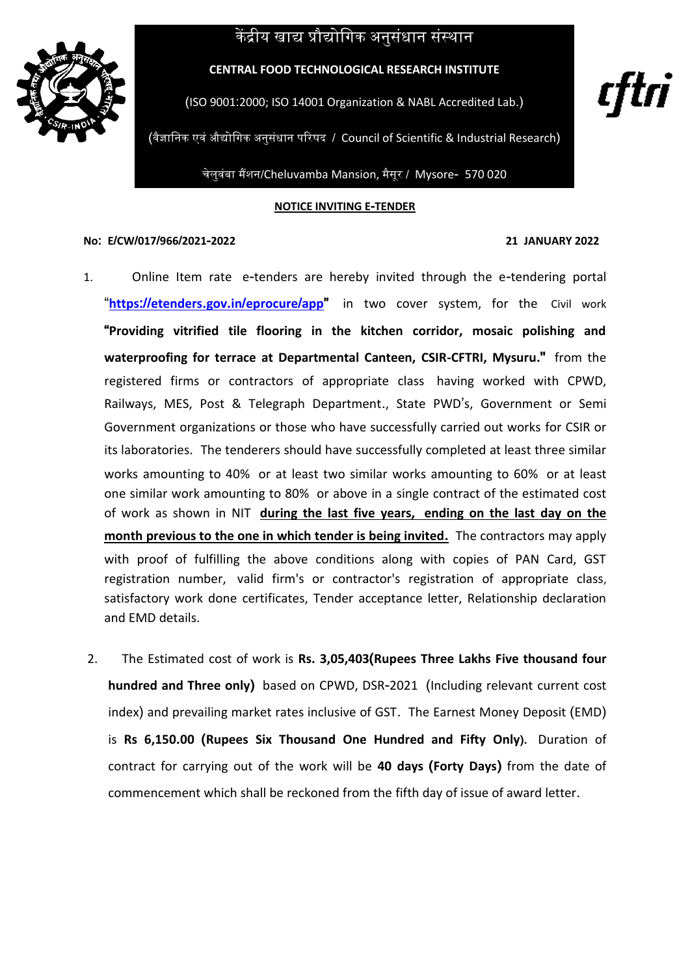## केंद्रीय खाद्य प्रौद्योगिक अनुसंधान संस्थान



**CENTRAL FOOD TECHNOLOGICAL RESEARCH INSTITUTE**

(ISO 9001:2000; ISO 14001 Organization & NABL Accredited Lab.)

(वैज्ञागनक एवं औद्योगिक अनुसंधान परिषद / Council of Scientific & Industrial Research)

चेलुवंबा मैंशन/Cheluvamba Mansion, मैसूर / Mysore- 570 020

**NOTICE INVITING E-TENDER**

## **No: E/CW/017/966/2021-2022 21 JANUARY 2022**

rțtri

- 1.Online Item rate e-tenders are hereby invited through the e-tendering portal "**https://etenders.gov.in/[eprocure](https://etenders.gov.in/eprocure/app)/app"** in two cover system, for the Civil work **"Providing vitrified tile flooring in the kitchen corridor, mosaic polishing and waterproofing for terrace at Departmental Canteen, CSIR-CFTRI, Mysuru."** from the registered firms or contractors of appropriate class having worked with CPWD, Railways, MES, Post & Telegraph Department., State PWD's, Government or Semi Government organizations or those who have successfully carried out works for CSIR or its laboratories. The tenderers should have successfully completed at least three similar works amounting to 40% or at least two similar works amounting to 60% or at least one similar work amounting to 80% or above in a single contract of the estimated cost of work as shown in NIT **during the last five years, ending on the last day on the month previous to the one in which tender is being invited.** The contractors may apply with proof of fulfilling the above conditions along with copies of PAN Card, GST registration number, valid firm's or contractor's registration of appropriate class, satisfactory work done certificates, Tender acceptance letter, Relationship declaration and EMD details.
- 2.The Estimated cost of work is **Rs. 3,05,403(Rupees Three Lakhs Five thousand four hundred and Three only)** based on CPWD, DSR-2021 (Including relevant current cost index) and prevailing market rates inclusive of GST. The Earnest Money Deposit (EMD) is **Rs 6,150.00 (Rupees Six Thousand One Hundred and Fifty Only).** Duration of contract for carrying out of the work will be **40 days (Forty Days)** from the date of commencement which shall be reckoned from the fifth day of issue of award letter.